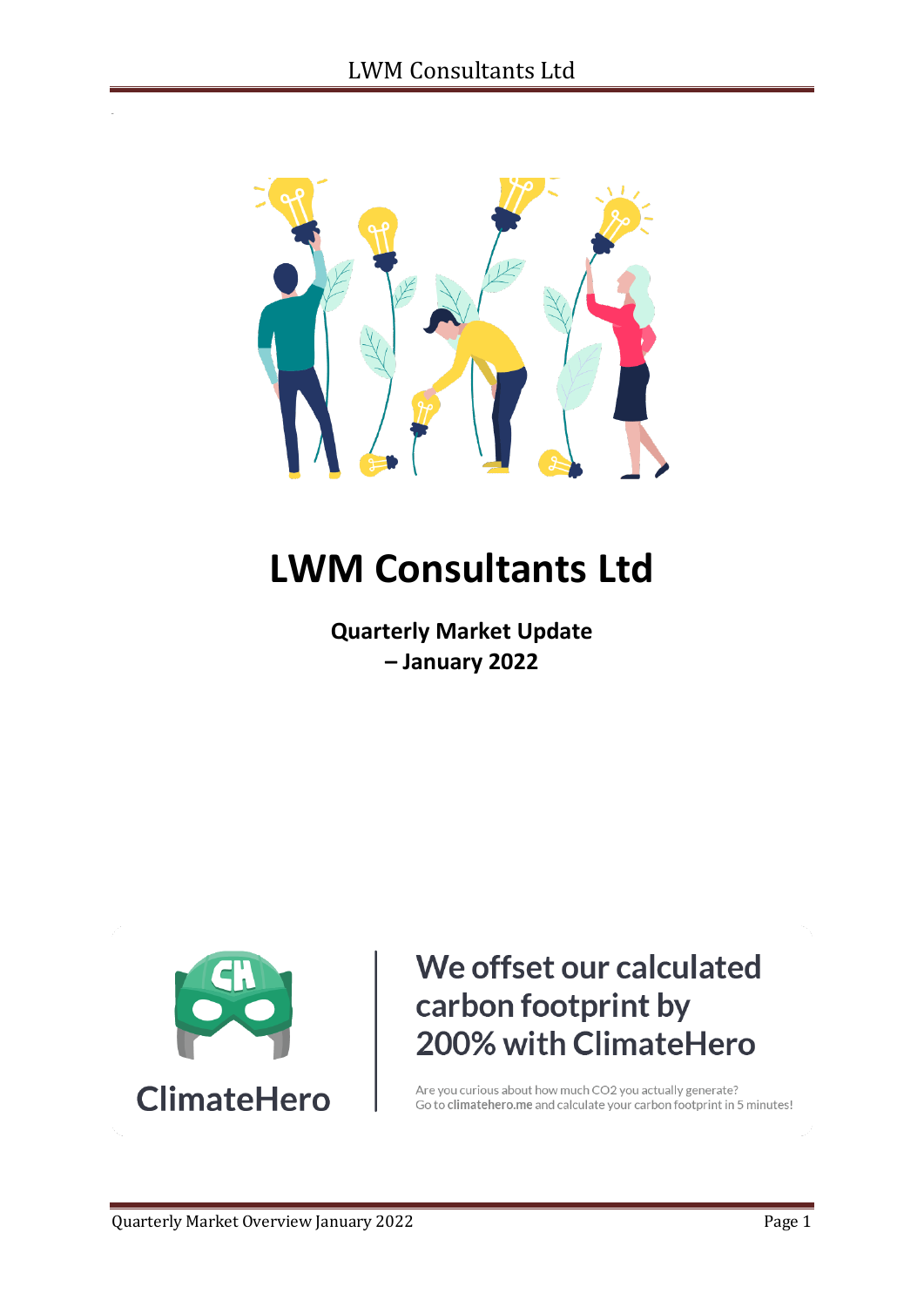

# **LWM Consultants Ltd**

**Quarterly Market Update – January 2022**



## We offset our calculated carbon footprint by 200% with ClimateHero

Are you curious about how much CO2 you actually generate? Go to climatehero.me and calculate your carbon footprint in 5 minutes!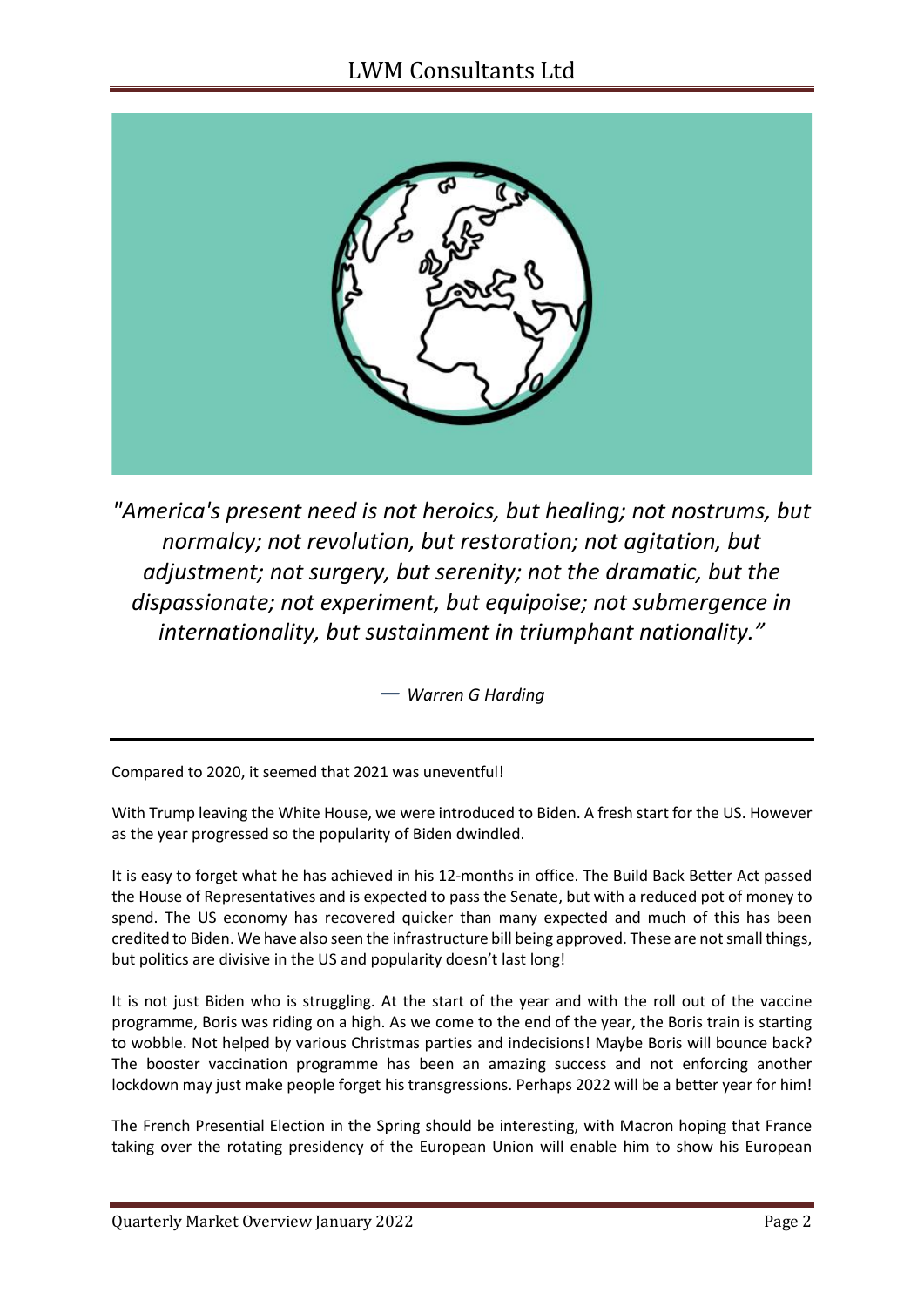

*"America's present need is not heroics, but healing; not nostrums, but normalcy; not revolution, but restoration; not agitation, but adjustment; not surgery, but serenity; not the dramatic, but the dispassionate; not experiment, but equipoise; not submergence in internationality, but sustainment in triumphant nationality."*

*― Warren G Harding*

Compared to 2020, it seemed that 2021 was uneventful!

With Trump leaving the White House, we were introduced to Biden. A fresh start for the US. However as the year progressed so the popularity of Biden dwindled.

It is easy to forget what he has achieved in his 12-months in office. The Build Back Better Act passed the House of Representatives and is expected to pass the Senate, but with a reduced pot of money to spend. The US economy has recovered quicker than many expected and much of this has been credited to Biden. We have also seen the infrastructure bill being approved. These are not small things, but politics are divisive in the US and popularity doesn't last long!

It is not just Biden who is struggling. At the start of the year and with the roll out of the vaccine programme, Boris was riding on a high. As we come to the end of the year, the Boris train is starting to wobble. Not helped by various Christmas parties and indecisions! Maybe Boris will bounce back? The booster vaccination programme has been an amazing success and not enforcing another lockdown may just make people forget his transgressions. Perhaps 2022 will be a better year for him!

The French Presential Election in the Spring should be interesting, with Macron hoping that France taking over the rotating presidency of the European Union will enable him to show his European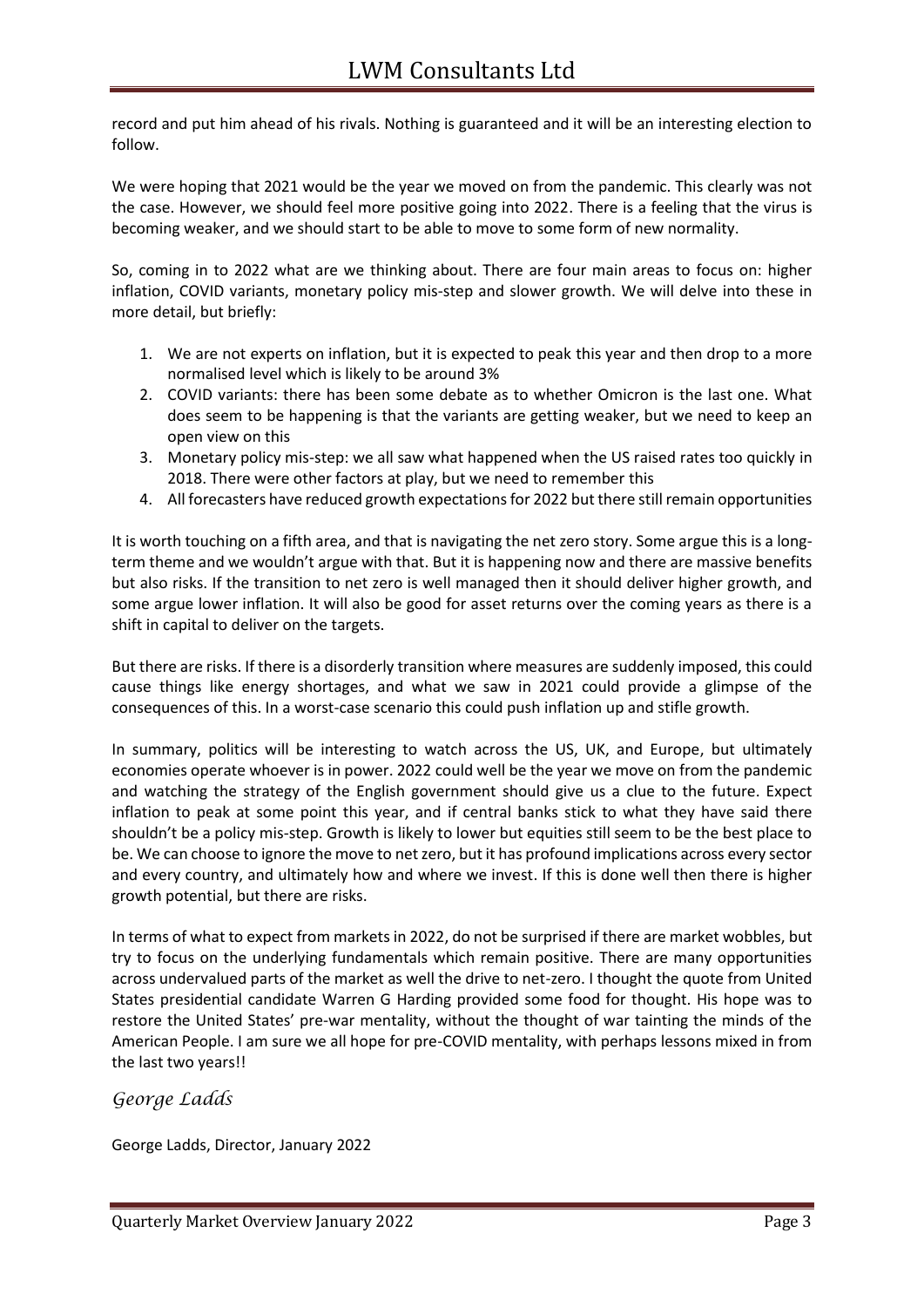record and put him ahead of his rivals. Nothing is guaranteed and it will be an interesting election to follow.

We were hoping that 2021 would be the year we moved on from the pandemic. This clearly was not the case. However, we should feel more positive going into 2022. There is a feeling that the virus is becoming weaker, and we should start to be able to move to some form of new normality.

So, coming in to 2022 what are we thinking about. There are four main areas to focus on: higher inflation, COVID variants, monetary policy mis-step and slower growth. We will delve into these in more detail, but briefly:

- 1. We are not experts on inflation, but it is expected to peak this year and then drop to a more normalised level which is likely to be around 3%
- 2. COVID variants: there has been some debate as to whether Omicron is the last one. What does seem to be happening is that the variants are getting weaker, but we need to keep an open view on this
- 3. Monetary policy mis-step: we all saw what happened when the US raised rates too quickly in 2018. There were other factors at play, but we need to remember this
- 4. All forecasters have reduced growth expectations for 2022 but there still remain opportunities

It is worth touching on a fifth area, and that is navigating the net zero story. Some argue this is a longterm theme and we wouldn't argue with that. But it is happening now and there are massive benefits but also risks. If the transition to net zero is well managed then it should deliver higher growth, and some argue lower inflation. It will also be good for asset returns over the coming years as there is a shift in capital to deliver on the targets.

But there are risks. If there is a disorderly transition where measures are suddenly imposed, this could cause things like energy shortages, and what we saw in 2021 could provide a glimpse of the consequences of this. In a worst-case scenario this could push inflation up and stifle growth.

In summary, politics will be interesting to watch across the US, UK, and Europe, but ultimately economies operate whoever is in power. 2022 could well be the year we move on from the pandemic and watching the strategy of the English government should give us a clue to the future. Expect inflation to peak at some point this year, and if central banks stick to what they have said there shouldn't be a policy mis-step. Growth is likely to lower but equities still seem to be the best place to be. We can choose to ignore the move to net zero, but it has profound implications across every sector and every country, and ultimately how and where we invest. If this is done well then there is higher growth potential, but there are risks.

In terms of what to expect from markets in 2022, do not be surprised if there are market wobbles, but try to focus on the underlying fundamentals which remain positive. There are many opportunities across undervalued parts of the market as well the drive to net-zero. I thought the quote from United States presidential candidate Warren G Harding provided some food for thought. His hope was to restore the United States' pre-war mentality, without the thought of war tainting the minds of the American People. I am sure we all hope for pre-COVID mentality, with perhaps lessons mixed in from the last two years!!

#### *George Ladds*

George Ladds, Director, January 2022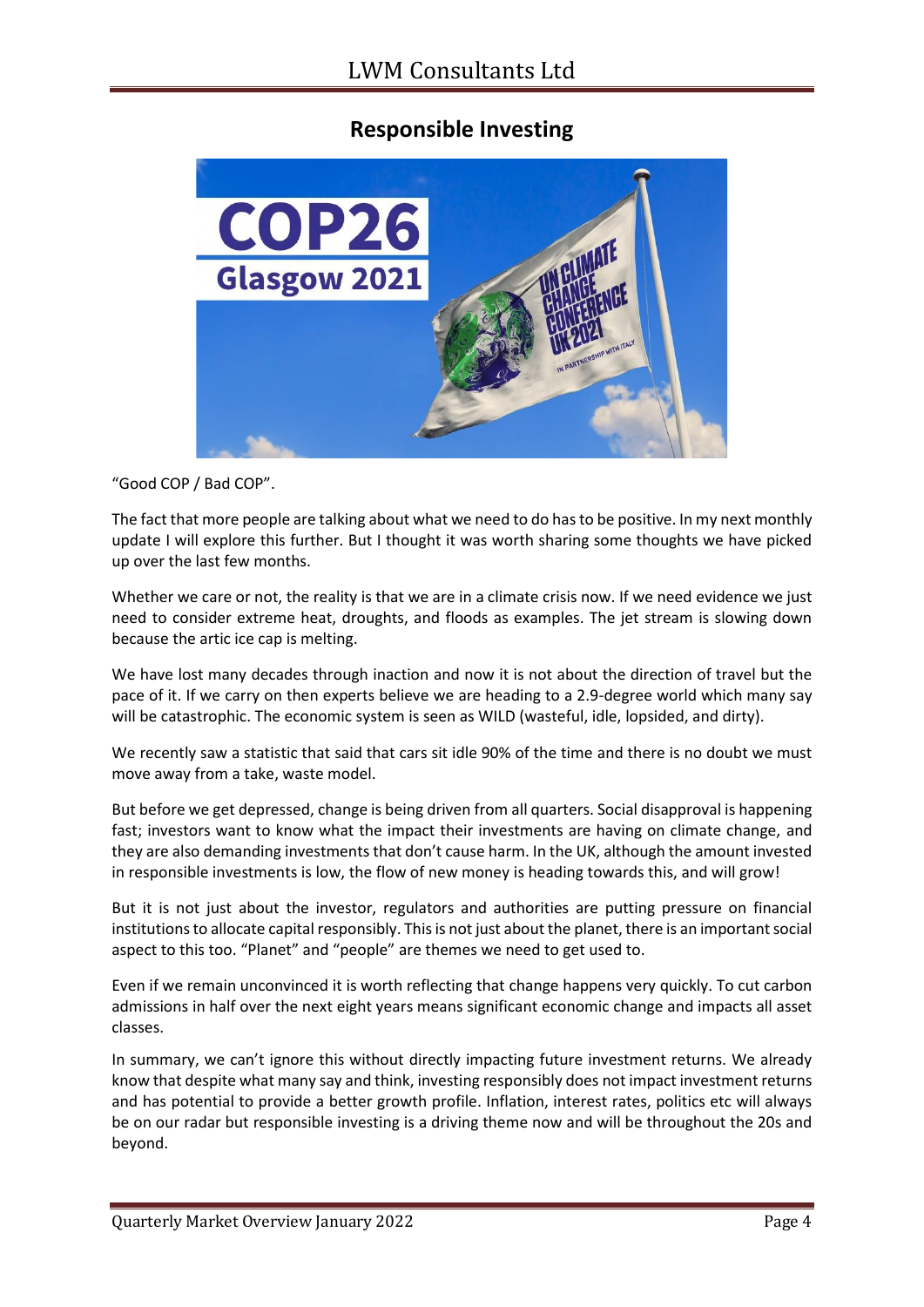#### **Responsible Investing**



"Good COP / Bad COP".

The fact that more people are talking about what we need to do has to be positive. In my next monthly update I will explore this further. But I thought it was worth sharing some thoughts we have picked up over the last few months.

Whether we care or not, the reality is that we are in a climate crisis now. If we need evidence we just need to consider extreme heat, droughts, and floods as examples. The jet stream is slowing down because the artic ice cap is melting.

We have lost many decades through inaction and now it is not about the direction of travel but the pace of it. If we carry on then experts believe we are heading to a 2.9-degree world which many say will be catastrophic. The economic system is seen as WILD (wasteful, idle, lopsided, and dirty).

We recently saw a statistic that said that cars sit idle 90% of the time and there is no doubt we must move away from a take, waste model.

But before we get depressed, change is being driven from all quarters. Social disapproval is happening fast; investors want to know what the impact their investments are having on climate change, and they are also demanding investments that don't cause harm. In the UK, although the amount invested in responsible investments is low, the flow of new money is heading towards this, and will grow!

But it is not just about the investor, regulators and authorities are putting pressure on financial institutions to allocate capital responsibly. This is not just about the planet, there is an important social aspect to this too. "Planet" and "people" are themes we need to get used to.

Even if we remain unconvinced it is worth reflecting that change happens very quickly. To cut carbon admissions in half over the next eight years means significant economic change and impacts all asset classes.

In summary, we can't ignore this without directly impacting future investment returns. We already know that despite what many say and think, investing responsibly does not impact investment returns and has potential to provide a better growth profile. Inflation, interest rates, politics etc will always be on our radar but responsible investing is a driving theme now and will be throughout the 20s and beyond.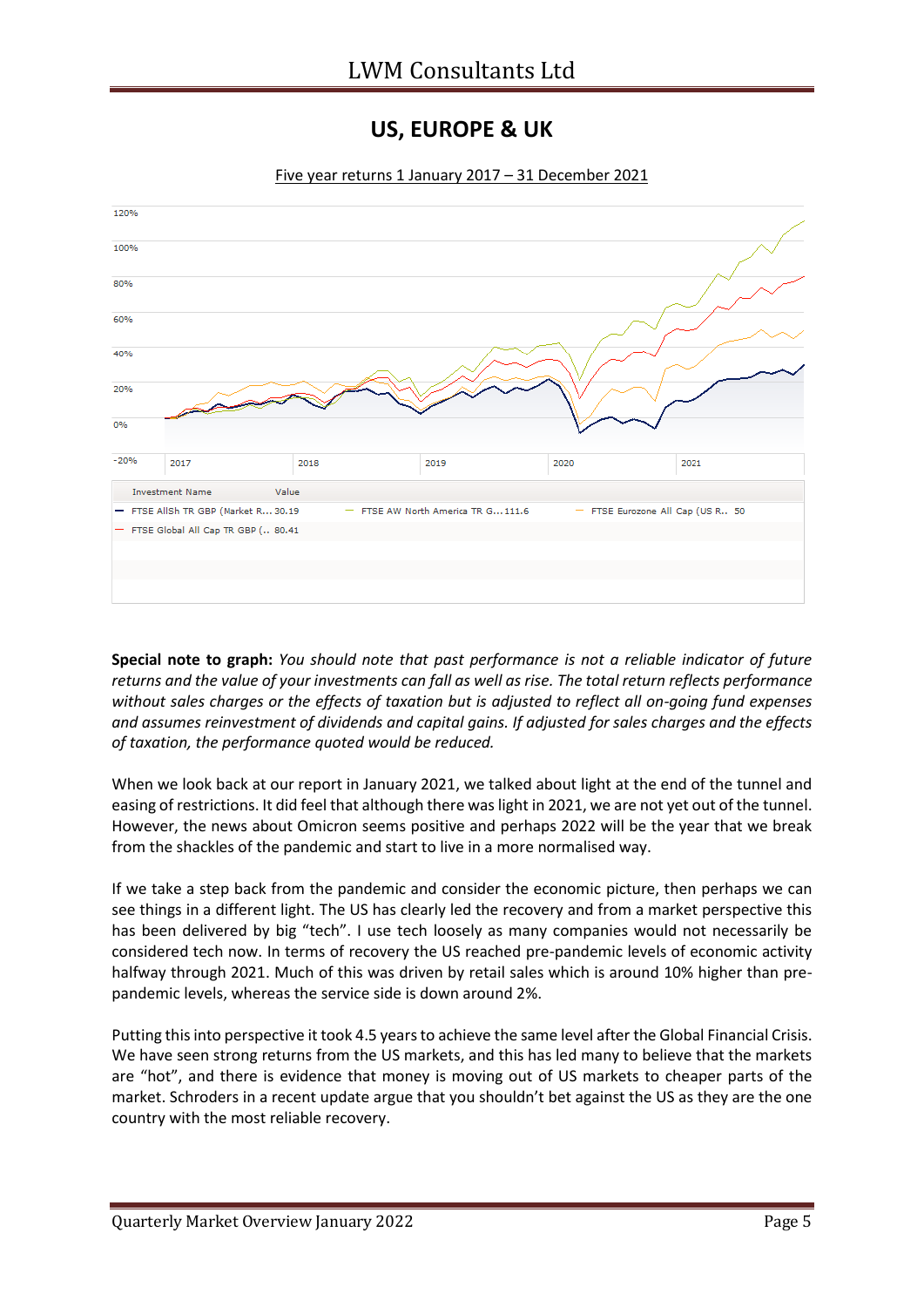#### **US, EUROPE & UK**



Five year returns 1 January 2017 – 31 December 2021

**Special note to graph:** *You should note that past performance is not a reliable indicator of future returns and the value of your investments can fall as well as rise. The total return reflects performance without sales charges or the effects of taxation but is adjusted to reflect all on-going fund expenses and assumes reinvestment of dividends and capital gains. If adjusted for sales charges and the effects of taxation, the performance quoted would be reduced.*

When we look back at our report in January 2021, we talked about light at the end of the tunnel and easing of restrictions. It did feel that although there was light in 2021, we are not yet out of the tunnel. However, the news about Omicron seems positive and perhaps 2022 will be the year that we break from the shackles of the pandemic and start to live in a more normalised way.

If we take a step back from the pandemic and consider the economic picture, then perhaps we can see things in a different light. The US has clearly led the recovery and from a market perspective this has been delivered by big "tech". I use tech loosely as many companies would not necessarily be considered tech now. In terms of recovery the US reached pre-pandemic levels of economic activity halfway through 2021. Much of this was driven by retail sales which is around 10% higher than prepandemic levels, whereas the service side is down around 2%.

Putting this into perspective it took 4.5 years to achieve the same level after the Global Financial Crisis. We have seen strong returns from the US markets, and this has led many to believe that the markets are "hot", and there is evidence that money is moving out of US markets to cheaper parts of the market. Schroders in a recent update argue that you shouldn't bet against the US as they are the one country with the most reliable recovery.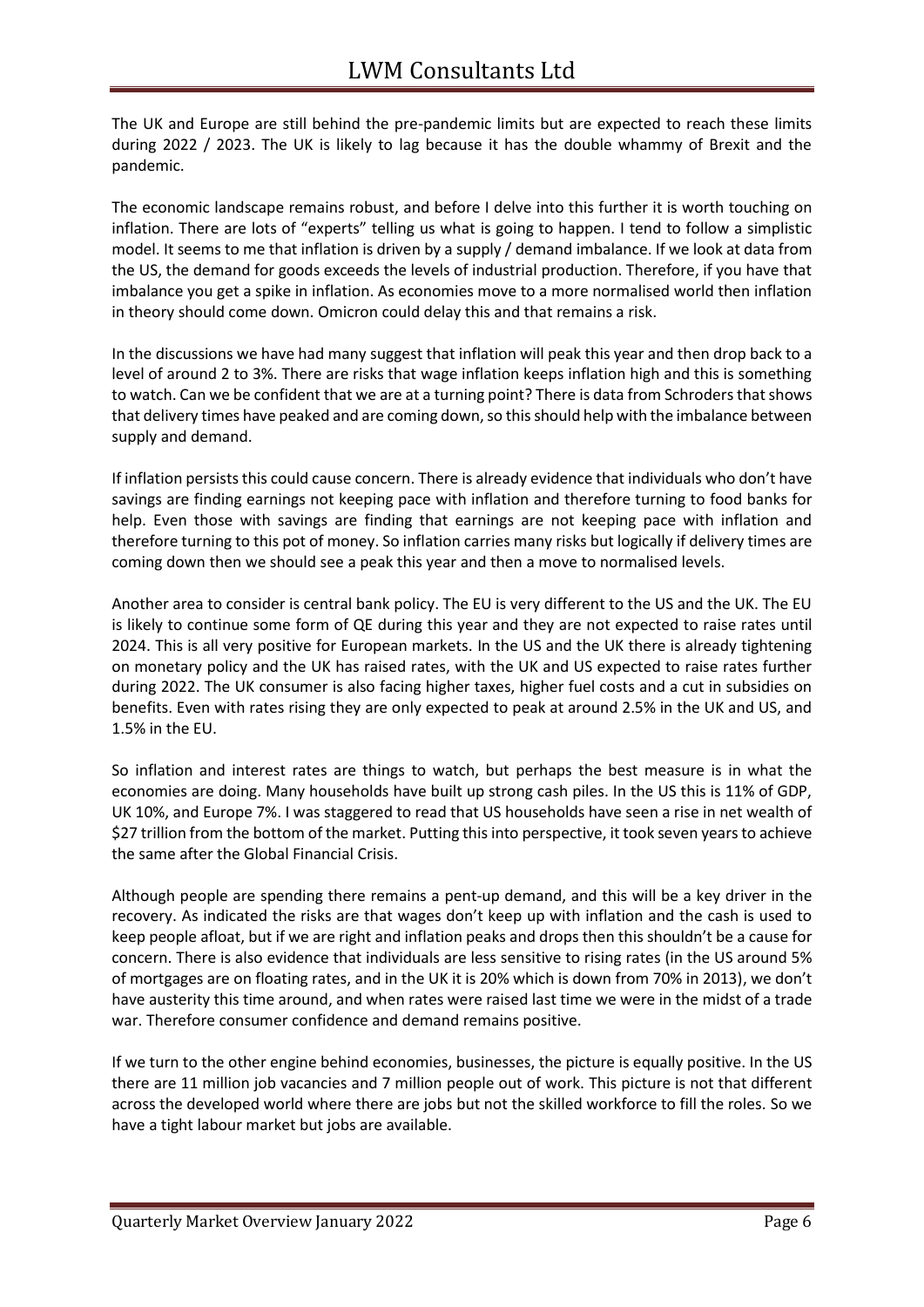The UK and Europe are still behind the pre-pandemic limits but are expected to reach these limits during 2022 / 2023. The UK is likely to lag because it has the double whammy of Brexit and the pandemic.

The economic landscape remains robust, and before I delve into this further it is worth touching on inflation. There are lots of "experts" telling us what is going to happen. I tend to follow a simplistic model. It seems to me that inflation is driven by a supply / demand imbalance. If we look at data from the US, the demand for goods exceeds the levels of industrial production. Therefore, if you have that imbalance you get a spike in inflation. As economies move to a more normalised world then inflation in theory should come down. Omicron could delay this and that remains a risk.

In the discussions we have had many suggest that inflation will peak this year and then drop back to a level of around 2 to 3%. There are risks that wage inflation keeps inflation high and this is something to watch. Can we be confident that we are at a turning point? There is data from Schroders that shows that delivery times have peaked and are coming down, so this should help with the imbalance between supply and demand.

If inflation persists this could cause concern. There is already evidence that individuals who don't have savings are finding earnings not keeping pace with inflation and therefore turning to food banks for help. Even those with savings are finding that earnings are not keeping pace with inflation and therefore turning to this pot of money. So inflation carries many risks but logically if delivery times are coming down then we should see a peak this year and then a move to normalised levels.

Another area to consider is central bank policy. The EU is very different to the US and the UK. The EU is likely to continue some form of QE during this year and they are not expected to raise rates until 2024. This is all very positive for European markets. In the US and the UK there is already tightening on monetary policy and the UK has raised rates, with the UK and US expected to raise rates further during 2022. The UK consumer is also facing higher taxes, higher fuel costs and a cut in subsidies on benefits. Even with rates rising they are only expected to peak at around 2.5% in the UK and US, and 1.5% in the EU.

So inflation and interest rates are things to watch, but perhaps the best measure is in what the economies are doing. Many households have built up strong cash piles. In the US this is 11% of GDP, UK 10%, and Europe 7%. I was staggered to read that US households have seen a rise in net wealth of \$27 trillion from the bottom of the market. Putting this into perspective, it took seven years to achieve the same after the Global Financial Crisis.

Although people are spending there remains a pent-up demand, and this will be a key driver in the recovery. As indicated the risks are that wages don't keep up with inflation and the cash is used to keep people afloat, but if we are right and inflation peaks and drops then this shouldn't be a cause for concern. There is also evidence that individuals are less sensitive to rising rates (in the US around 5% of mortgages are on floating rates, and in the UK it is 20% which is down from 70% in 2013), we don't have austerity this time around, and when rates were raised last time we were in the midst of a trade war. Therefore consumer confidence and demand remains positive.

If we turn to the other engine behind economies, businesses, the picture is equally positive. In the US there are 11 million job vacancies and 7 million people out of work. This picture is not that different across the developed world where there are jobs but not the skilled workforce to fill the roles. So we have a tight labour market but jobs are available.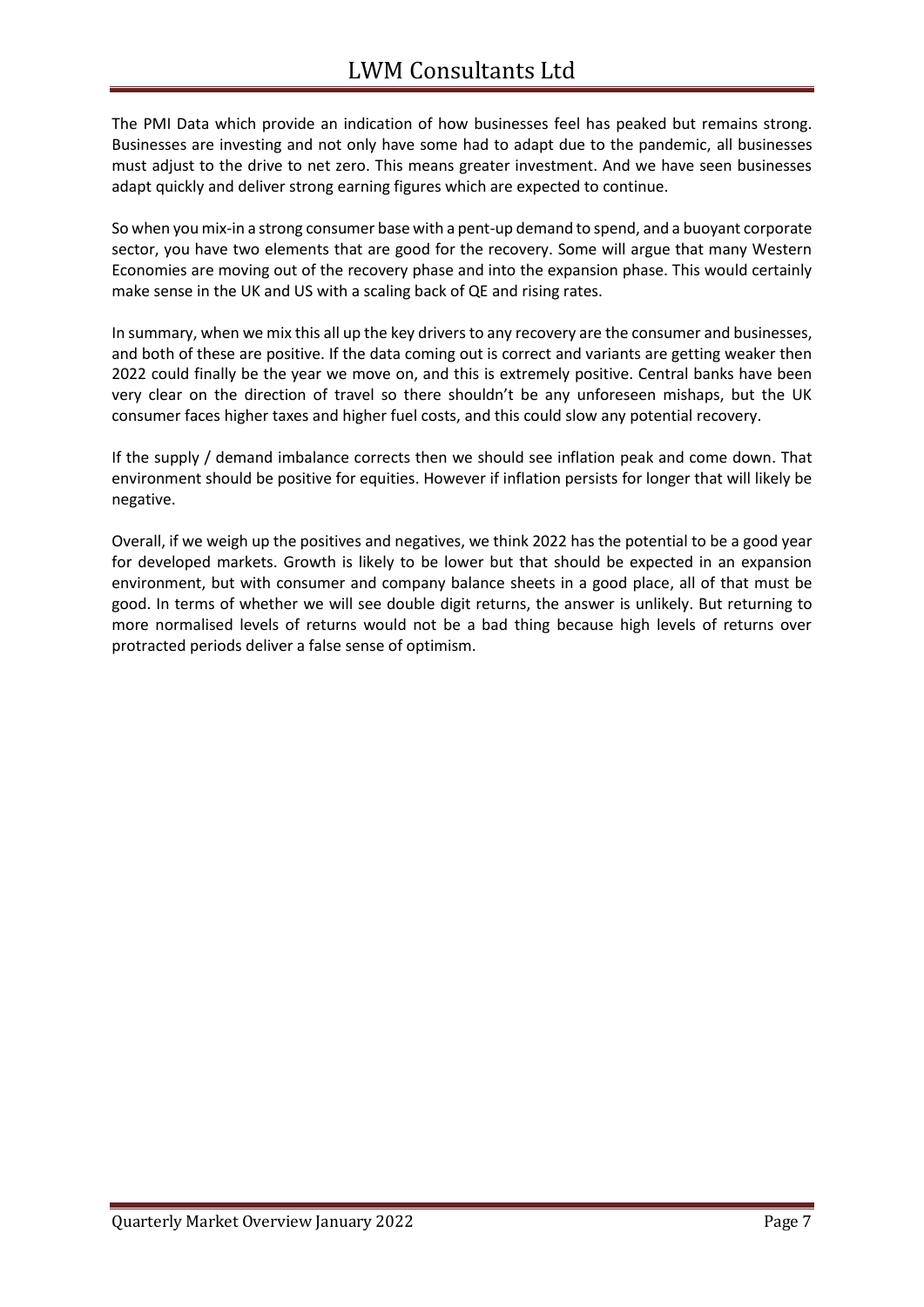The PMI Data which provide an indication of how businesses feel has peaked but remains strong. Businesses are investing and not only have some had to adapt due to the pandemic, all businesses must adjust to the drive to net zero. This means greater investment. And we have seen businesses adapt quickly and deliver strong earning figures which are expected to continue.

So when you mix-in a strong consumer base with a pent-up demand to spend, and a buoyant corporate sector, you have two elements that are good for the recovery. Some will argue that many Western Economies are moving out of the recovery phase and into the expansion phase. This would certainly make sense in the UK and US with a scaling back of QE and rising rates.

In summary, when we mix this all up the key drivers to any recovery are the consumer and businesses, and both of these are positive. If the data coming out is correct and variants are getting weaker then 2022 could finally be the year we move on, and this is extremely positive. Central banks have been very clear on the direction of travel so there shouldn't be any unforeseen mishaps, but the UK consumer faces higher taxes and higher fuel costs, and this could slow any potential recovery.

If the supply / demand imbalance corrects then we should see inflation peak and come down. That environment should be positive for equities. However if inflation persists for longer that will likely be negative.

Overall, if we weigh up the positives and negatives, we think 2022 has the potential to be a good year for developed markets. Growth is likely to be lower but that should be expected in an expansion environment, but with consumer and company balance sheets in a good place, all of that must be good. In terms of whether we will see double digit returns, the answer is unlikely. But returning to more normalised levels of returns would not be a bad thing because high levels of returns over protracted periods deliver a false sense of optimism.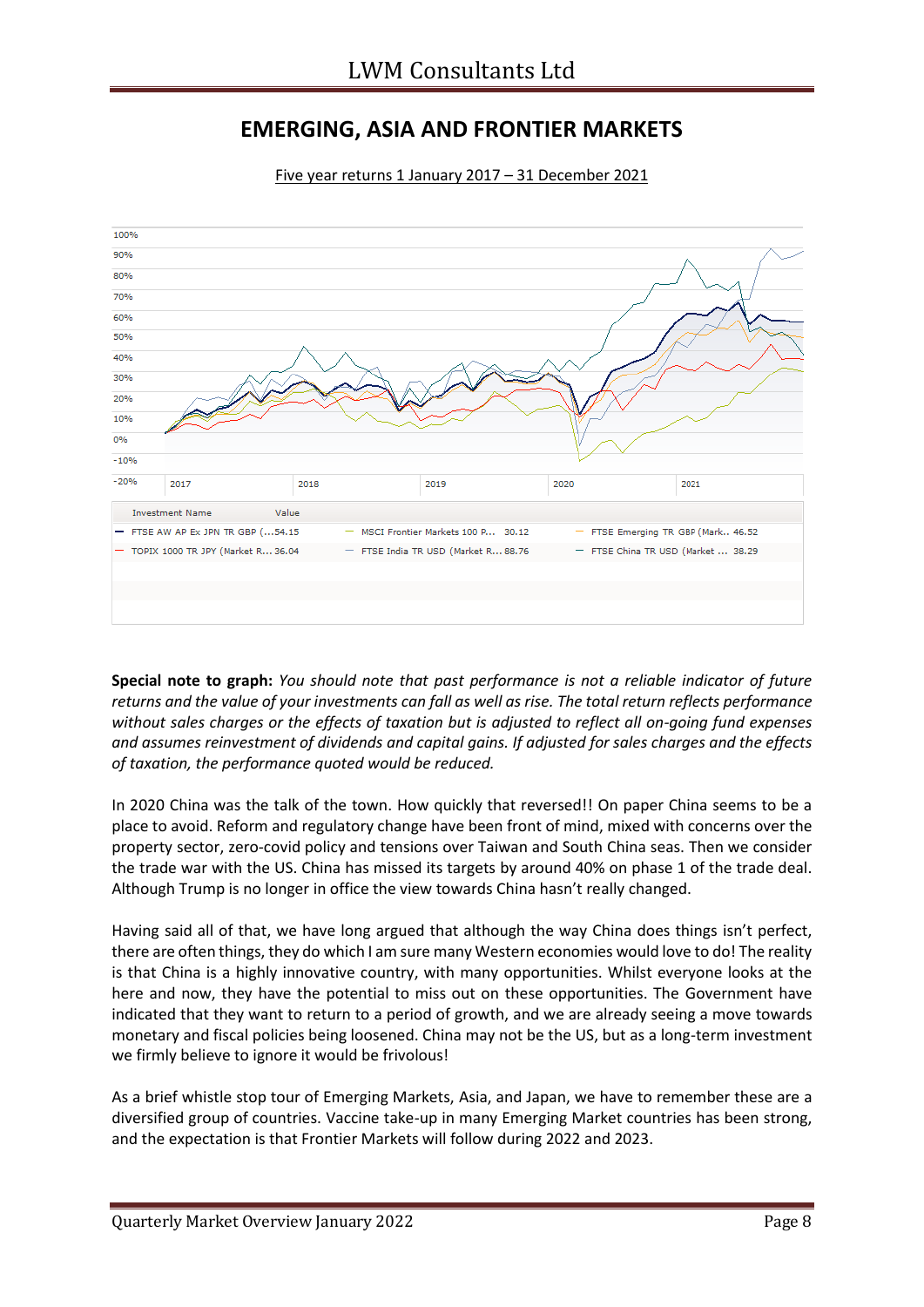### **EMERGING, ASIA AND FRONTIER MARKETS**



Five year returns 1 January 2017 – 31 December 2021

**Special note to graph:** *You should note that past performance is not a reliable indicator of future returns and the value of your investments can fall as well as rise. The total return reflects performance without sales charges or the effects of taxation but is adjusted to reflect all on-going fund expenses and assumes reinvestment of dividends and capital gains. If adjusted for sales charges and the effects of taxation, the performance quoted would be reduced.*

In 2020 China was the talk of the town. How quickly that reversed!! On paper China seems to be a place to avoid. Reform and regulatory change have been front of mind, mixed with concerns over the property sector, zero-covid policy and tensions over Taiwan and South China seas. Then we consider the trade war with the US. China has missed its targets by around 40% on phase 1 of the trade deal. Although Trump is no longer in office the view towards China hasn't really changed.

Having said all of that, we have long argued that although the way China does things isn't perfect, there are often things, they do which I am sure many Western economies would love to do! The reality is that China is a highly innovative country, with many opportunities. Whilst everyone looks at the here and now, they have the potential to miss out on these opportunities. The Government have indicated that they want to return to a period of growth, and we are already seeing a move towards monetary and fiscal policies being loosened. China may not be the US, but as a long-term investment we firmly believe to ignore it would be frivolous!

As a brief whistle stop tour of Emerging Markets, Asia, and Japan, we have to remember these are a diversified group of countries. Vaccine take-up in many Emerging Market countries has been strong, and the expectation is that Frontier Markets will follow during 2022 and 2023.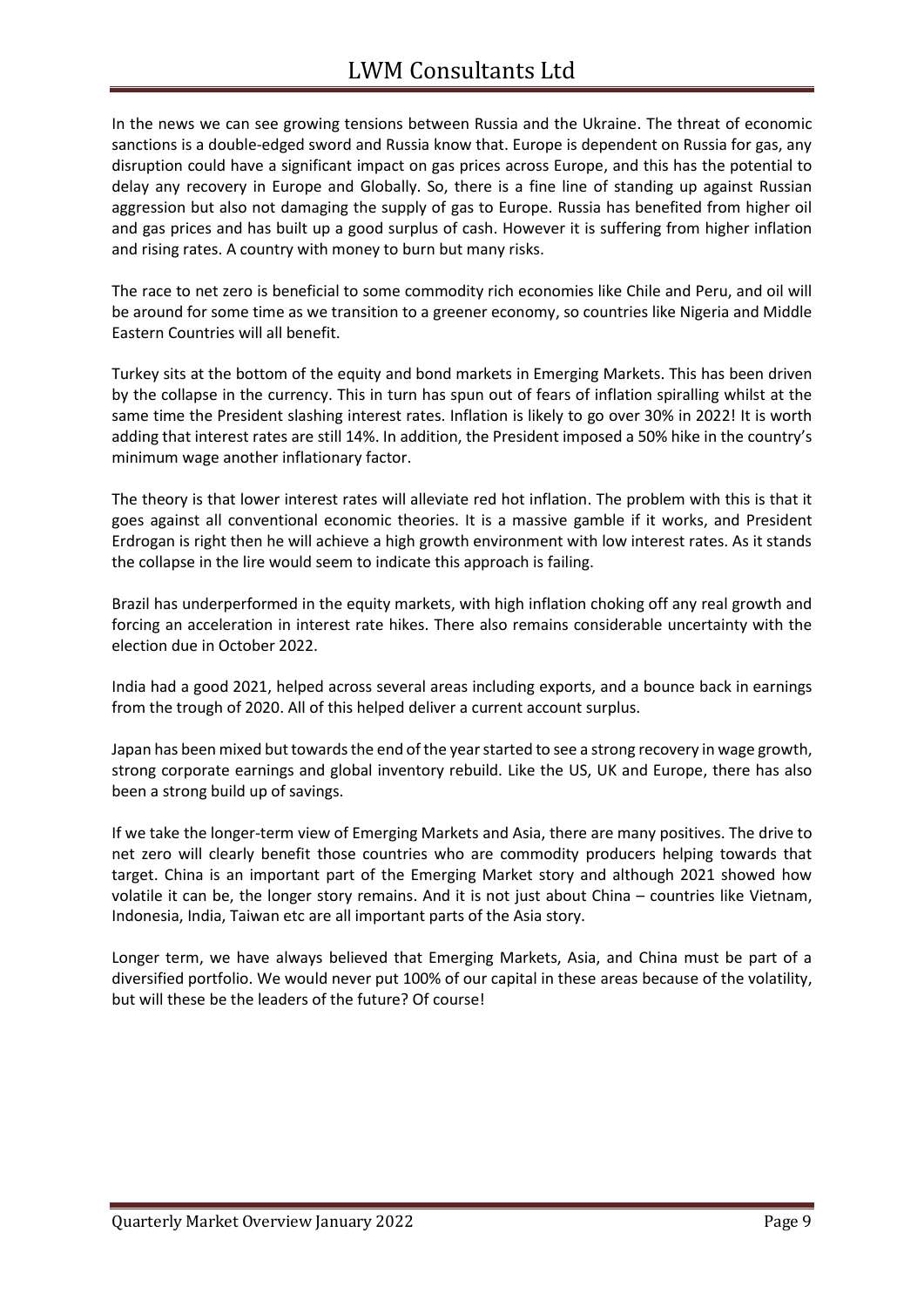In the news we can see growing tensions between Russia and the Ukraine. The threat of economic sanctions is a double-edged sword and Russia know that. Europe is dependent on Russia for gas, any disruption could have a significant impact on gas prices across Europe, and this has the potential to delay any recovery in Europe and Globally. So, there is a fine line of standing up against Russian aggression but also not damaging the supply of gas to Europe. Russia has benefited from higher oil and gas prices and has built up a good surplus of cash. However it is suffering from higher inflation and rising rates. A country with money to burn but many risks.

The race to net zero is beneficial to some commodity rich economies like Chile and Peru, and oil will be around for some time as we transition to a greener economy, so countries like Nigeria and Middle Eastern Countries will all benefit.

Turkey sits at the bottom of the equity and bond markets in Emerging Markets. This has been driven by the collapse in the currency. This in turn has spun out of fears of inflation spiralling whilst at the same time the President slashing interest rates. Inflation is likely to go over 30% in 2022! It is worth adding that interest rates are still 14%. In addition, the President imposed a 50% hike in the country's minimum wage another inflationary factor.

The theory is that lower interest rates will alleviate red hot inflation. The problem with this is that it goes against all conventional economic theories. It is a massive gamble if it works, and President Erdrogan is right then he will achieve a high growth environment with low interest rates. As it stands the collapse in the lire would seem to indicate this approach is failing.

Brazil has underperformed in the equity markets, with high inflation choking off any real growth and forcing an acceleration in interest rate hikes. There also remains considerable uncertainty with the election due in October 2022.

India had a good 2021, helped across several areas including exports, and a bounce back in earnings from the trough of 2020. All of this helped deliver a current account surplus.

Japan has been mixed but towards the end of the year started to see a strong recovery in wage growth, strong corporate earnings and global inventory rebuild. Like the US, UK and Europe, there has also been a strong build up of savings.

If we take the longer-term view of Emerging Markets and Asia, there are many positives. The drive to net zero will clearly benefit those countries who are commodity producers helping towards that target. China is an important part of the Emerging Market story and although 2021 showed how volatile it can be, the longer story remains. And it is not just about China – countries like Vietnam, Indonesia, India, Taiwan etc are all important parts of the Asia story.

Longer term, we have always believed that Emerging Markets, Asia, and China must be part of a diversified portfolio. We would never put 100% of our capital in these areas because of the volatility, but will these be the leaders of the future? Of course!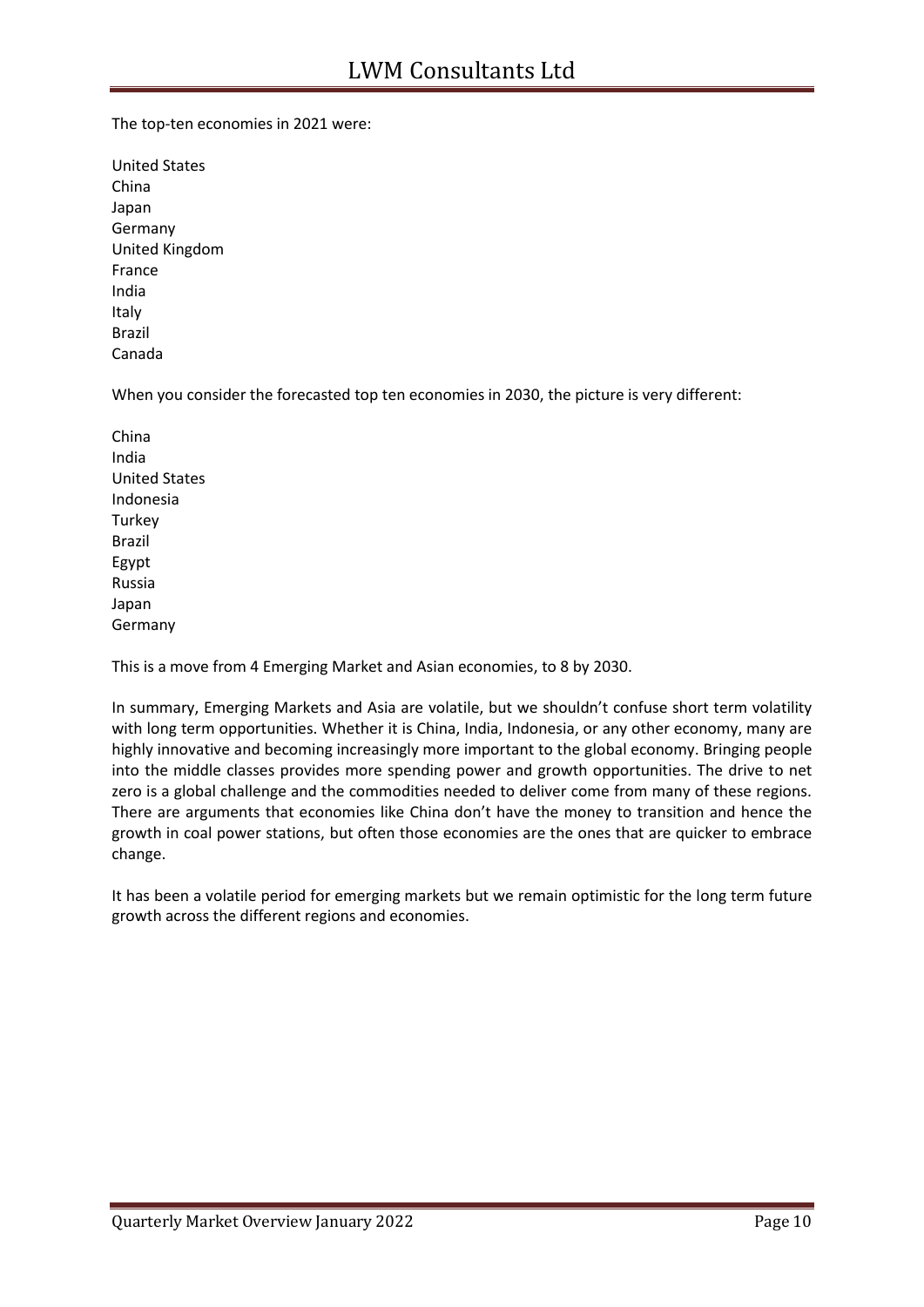The top-ten economies in 2021 were:

United States China Japan Germany United Kingdom France India Italy Brazil Canada

When you consider the forecasted top ten economies in 2030, the picture is very different:

China India United States Indonesia **Turkey** Brazil Egypt Russia Japan Germany

This is a move from 4 Emerging Market and Asian economies, to 8 by 2030.

In summary, Emerging Markets and Asia are volatile, but we shouldn't confuse short term volatility with long term opportunities. Whether it is China, India, Indonesia, or any other economy, many are highly innovative and becoming increasingly more important to the global economy. Bringing people into the middle classes provides more spending power and growth opportunities. The drive to net zero is a global challenge and the commodities needed to deliver come from many of these regions. There are arguments that economies like China don't have the money to transition and hence the growth in coal power stations, but often those economies are the ones that are quicker to embrace change.

It has been a volatile period for emerging markets but we remain optimistic for the long term future growth across the different regions and economies.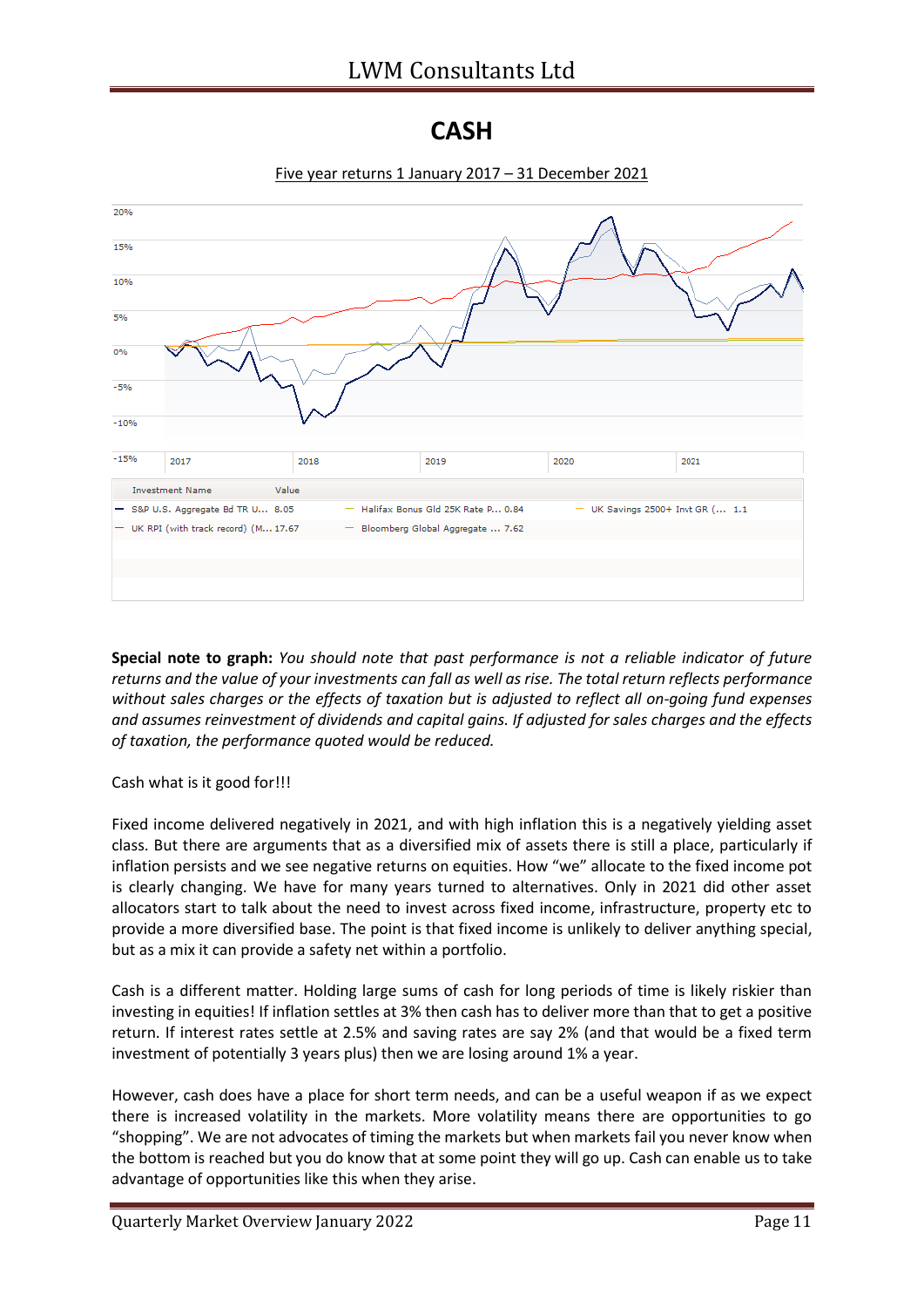#### **CASH**



Five year returns 1 January 2017 – 31 December 2021

**Special note to graph:** *You should note that past performance is not a reliable indicator of future returns and the value of your investments can fall as well as rise. The total return reflects performance without sales charges or the effects of taxation but is adjusted to reflect all on-going fund expenses and assumes reinvestment of dividends and capital gains. If adjusted for sales charges and the effects of taxation, the performance quoted would be reduced.*

Cash what is it good for!!!

Fixed income delivered negatively in 2021, and with high inflation this is a negatively yielding asset class. But there are arguments that as a diversified mix of assets there is still a place, particularly if inflation persists and we see negative returns on equities. How "we" allocate to the fixed income pot is clearly changing. We have for many years turned to alternatives. Only in 2021 did other asset allocators start to talk about the need to invest across fixed income, infrastructure, property etc to provide a more diversified base. The point is that fixed income is unlikely to deliver anything special, but as a mix it can provide a safety net within a portfolio.

Cash is a different matter. Holding large sums of cash for long periods of time is likely riskier than investing in equities! If inflation settles at 3% then cash has to deliver more than that to get a positive return. If interest rates settle at 2.5% and saving rates are say 2% (and that would be a fixed term investment of potentially 3 years plus) then we are losing around 1% a year.

However, cash does have a place for short term needs, and can be a useful weapon if as we expect there is increased volatility in the markets. More volatility means there are opportunities to go "shopping". We are not advocates of timing the markets but when markets fail you never know when the bottom is reached but you do know that at some point they will go up. Cash can enable us to take advantage of opportunities like this when they arise.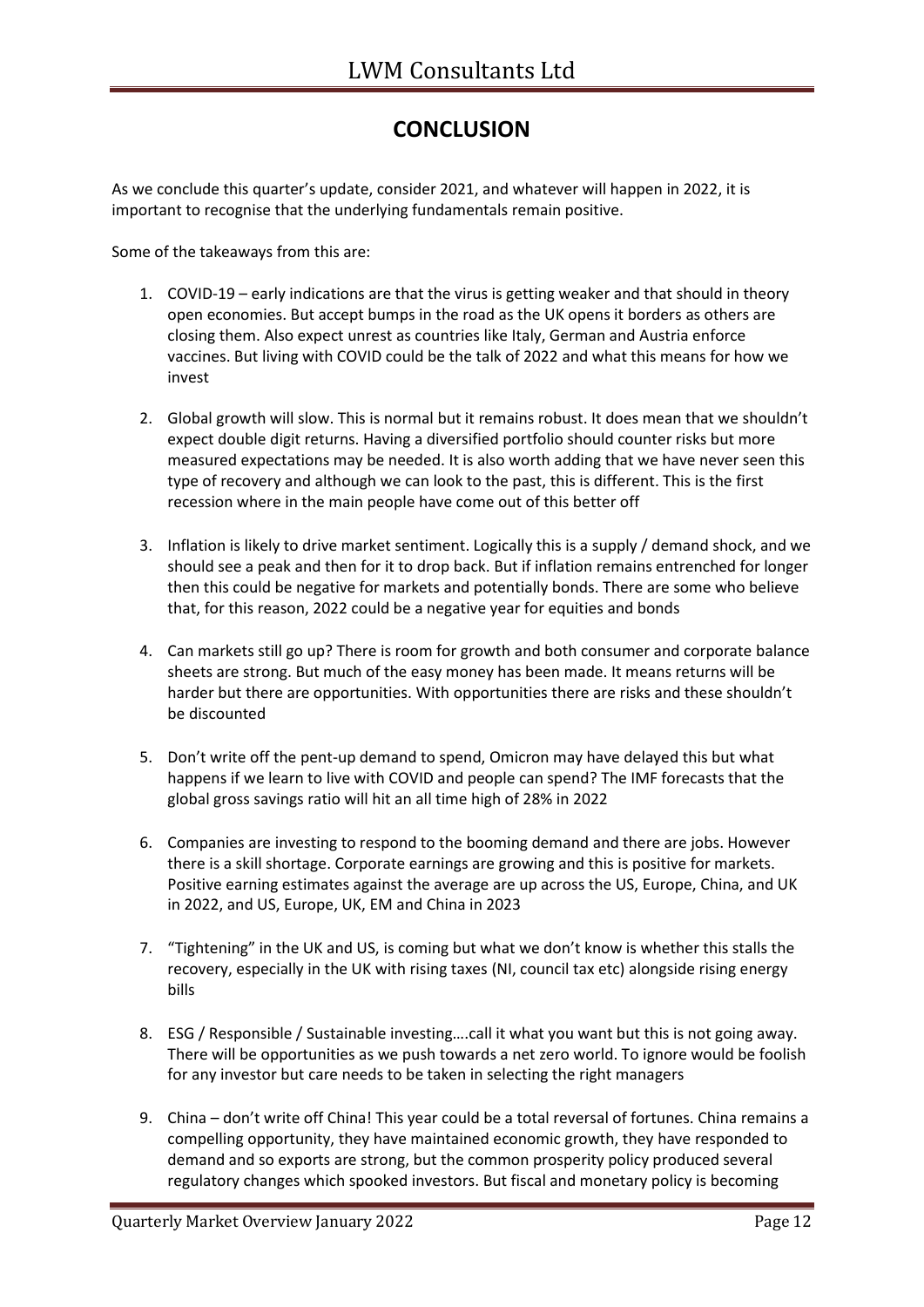### **CONCLUSION**

As we conclude this quarter's update, consider 2021, and whatever will happen in 2022, it is important to recognise that the underlying fundamentals remain positive.

Some of the takeaways from this are:

- 1. COVID-19 early indications are that the virus is getting weaker and that should in theory open economies. But accept bumps in the road as the UK opens it borders as others are closing them. Also expect unrest as countries like Italy, German and Austria enforce vaccines. But living with COVID could be the talk of 2022 and what this means for how we invest
- 2. Global growth will slow. This is normal but it remains robust. It does mean that we shouldn't expect double digit returns. Having a diversified portfolio should counter risks but more measured expectations may be needed. It is also worth adding that we have never seen this type of recovery and although we can look to the past, this is different. This is the first recession where in the main people have come out of this better off
- 3. Inflation is likely to drive market sentiment. Logically this is a supply / demand shock, and we should see a peak and then for it to drop back. But if inflation remains entrenched for longer then this could be negative for markets and potentially bonds. There are some who believe that, for this reason, 2022 could be a negative year for equities and bonds
- 4. Can markets still go up? There is room for growth and both consumer and corporate balance sheets are strong. But much of the easy money has been made. It means returns will be harder but there are opportunities. With opportunities there are risks and these shouldn't be discounted
- 5. Don't write off the pent-up demand to spend, Omicron may have delayed this but what happens if we learn to live with COVID and people can spend? The IMF forecasts that the global gross savings ratio will hit an all time high of 28% in 2022
- 6. Companies are investing to respond to the booming demand and there are jobs. However there is a skill shortage. Corporate earnings are growing and this is positive for markets. Positive earning estimates against the average are up across the US, Europe, China, and UK in 2022, and US, Europe, UK, EM and China in 2023
- 7. "Tightening" in the UK and US, is coming but what we don't know is whether this stalls the recovery, especially in the UK with rising taxes (NI, council tax etc) alongside rising energy bills
- 8. ESG / Responsible / Sustainable investing….call it what you want but this is not going away. There will be opportunities as we push towards a net zero world. To ignore would be foolish for any investor but care needs to be taken in selecting the right managers
- 9. China don't write off China! This year could be a total reversal of fortunes. China remains a compelling opportunity, they have maintained economic growth, they have responded to demand and so exports are strong, but the common prosperity policy produced several regulatory changes which spooked investors. But fiscal and monetary policy is becoming